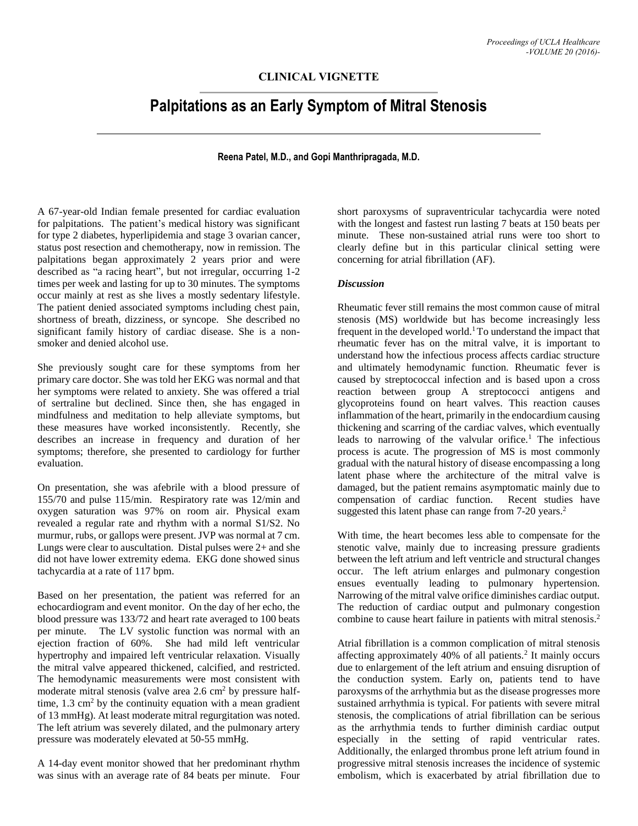# **CLINICAL VIGNETTE**

# **Palpitations as an Early Symptom of Mitral Stenosis**

#### **Reena Patel, M.D., and Gopi Manthripragada, M.D.**

A 67-year-old Indian female presented for cardiac evaluation for palpitations. The patient's medical history was significant for type 2 diabetes, hyperlipidemia and stage 3 ovarian cancer, status post resection and chemotherapy, now in remission. The palpitations began approximately 2 years prior and were described as "a racing heart", but not irregular, occurring 1-2 times per week and lasting for up to 30 minutes. The symptoms occur mainly at rest as she lives a mostly sedentary lifestyle. The patient denied associated symptoms including chest pain, shortness of breath, dizziness, or syncope. She described no significant family history of cardiac disease. She is a nonsmoker and denied alcohol use.

She previously sought care for these symptoms from her primary care doctor. She was told her EKG was normal and that her symptoms were related to anxiety. She was offered a trial of sertraline but declined. Since then, she has engaged in mindfulness and meditation to help alleviate symptoms, but these measures have worked inconsistently. Recently, she describes an increase in frequency and duration of her symptoms; therefore, she presented to cardiology for further evaluation.

On presentation, she was afebrile with a blood pressure of 155/70 and pulse 115/min. Respiratory rate was 12/min and oxygen saturation was 97% on room air. Physical exam revealed a regular rate and rhythm with a normal S1/S2. No murmur, rubs, or gallops were present. JVP was normal at 7 cm. Lungs were clear to auscultation. Distal pulses were 2+ and she did not have lower extremity edema. EKG done showed sinus tachycardia at a rate of 117 bpm.

Based on her presentation, the patient was referred for an echocardiogram and event monitor. On the day of her echo, the blood pressure was 133/72 and heart rate averaged to 100 beats per minute. The LV systolic function was normal with an ejection fraction of 60%. She had mild left ventricular hypertrophy and impaired left ventricular relaxation. Visually the mitral valve appeared thickened, calcified, and restricted. The hemodynamic measurements were most consistent with moderate mitral stenosis (valve area  $2.6 \text{ cm}^2$  by pressure halftime,  $1.3 \text{ cm}^2$  by the continuity equation with a mean gradient of 13 mmHg). At least moderate mitral regurgitation was noted. The left atrium was severely dilated, and the pulmonary artery pressure was moderately elevated at 50-55 mmHg.

A 14-day event monitor showed that her predominant rhythm was sinus with an average rate of 84 beats per minute. Four short paroxysms of supraventricular tachycardia were noted with the longest and fastest run lasting 7 beats at 150 beats per minute. These non-sustained atrial runs were too short to clearly define but in this particular clinical setting were concerning for atrial fibrillation (AF).

#### *Discussion*

Rheumatic fever still remains the most common cause of mitral stenosis (MS) worldwide but has become increasingly less frequent in the developed world.<sup>1</sup> To understand the impact that rheumatic fever has on the mitral valve, it is important to understand how the infectious process affects cardiac structure and ultimately hemodynamic function. Rheumatic fever is caused by streptococcal infection and is based upon a cross reaction between group A streptococci antigens and glycoproteins found on heart valves. This reaction causes inflammation of the heart, primarily in the endocardium causing thickening and scarring of the cardiac valves, which eventually leads to narrowing of the valvular orifice.<sup>1</sup> The infectious process is acute. The progression of MS is most commonly gradual with the natural history of disease encompassing a long latent phase where the architecture of the mitral valve is damaged, but the patient remains asymptomatic mainly due to compensation of cardiac function. Recent studies have suggested this latent phase can range from 7-20 years.<sup>2</sup>

With time, the heart becomes less able to compensate for the stenotic valve, mainly due to increasing pressure gradients between the left atrium and left ventricle and structural changes occur. The left atrium enlarges and pulmonary congestion ensues eventually leading to pulmonary hypertension. Narrowing of the mitral valve orifice diminishes cardiac output. The reduction of cardiac output and pulmonary congestion combine to cause heart failure in patients with mitral stenosis. 2

Atrial fibrillation is a common complication of mitral stenosis affecting approximately 40% of all patients.<sup>2</sup> It mainly occurs due to enlargement of the left atrium and ensuing disruption of the conduction system. Early on, patients tend to have paroxysms of the arrhythmia but as the disease progresses more sustained arrhythmia is typical. For patients with severe mitral stenosis, the complications of atrial fibrillation can be serious as the arrhythmia tends to further diminish cardiac output especially in the setting of rapid ventricular rates. Additionally, the enlarged thrombus prone left atrium found in progressive mitral stenosis increases the incidence of systemic embolism, which is exacerbated by atrial fibrillation due to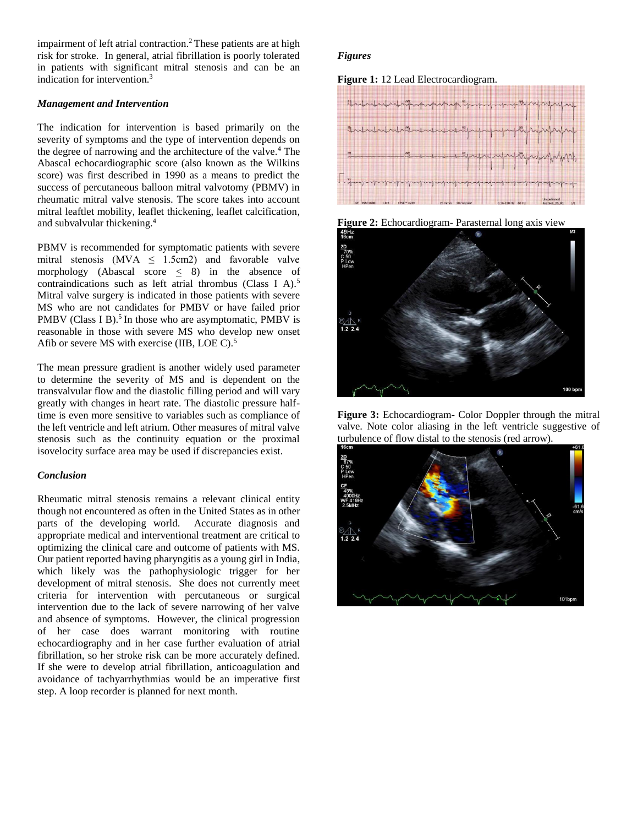impairment of left atrial contraction. <sup>2</sup>These patients are at high risk for stroke. In general, atrial fibrillation is poorly tolerated in patients with significant mitral stenosis and can be an indication for intervention.<sup>3</sup>

## *Management and Intervention*

The indication for intervention is based primarily on the severity of symptoms and the type of intervention depends on the degree of narrowing and the architecture of the valve.<sup>4</sup> The Abascal echocardiographic score (also known as the Wilkins score) was first described in 1990 as a means to predict the success of percutaneous balloon mitral valvotomy (PBMV) in rheumatic mitral valve stenosis. The score takes into account mitral leaftlet mobility, leaflet thickening, leaflet calcification, and subvalvular thickening.<sup>4</sup>

PBMV is recommended for symptomatic patients with severe mitral stenosis (MVA  $\leq$  1.5cm2) and favorable valve morphology (Abascal score  $\leq$  8) in the absence of contraindications such as left atrial thrombus (Class I A).<sup>5</sup> Mitral valve surgery is indicated in those patients with severe MS who are not candidates for PMBV or have failed prior PMBV (Class I B).<sup>5</sup> In those who are asymptomatic, PMBV is reasonable in those with severe MS who develop new onset Afib or severe MS with exercise (IIB, LOE C).<sup>5</sup>

The mean pressure gradient is another widely used parameter to determine the severity of MS and is dependent on the transvalvular flow and the diastolic filling period and will vary greatly with changes in heart rate. The diastolic pressure halftime is even more sensitive to variables such as compliance of the left ventricle and left atrium. Other measures of mitral valve stenosis such as the continuity equation or the proximal isovelocity surface area may be used if discrepancies exist.

## *Conclusion*

Rheumatic mitral stenosis remains a relevant clinical entity though not encountered as often in the United States as in other parts of the developing world. Accurate diagnosis and appropriate medical and interventional treatment are critical to optimizing the clinical care and outcome of patients with MS. Our patient reported having pharyngitis as a young girl in India, which likely was the pathophysiologic trigger for her development of mitral stenosis. She does not currently meet criteria for intervention with percutaneous or surgical intervention due to the lack of severe narrowing of her valve and absence of symptoms. However, the clinical progression of her case does warrant monitoring with routine echocardiography and in her case further evaluation of atrial fibrillation, so her stroke risk can be more accurately defined. If she were to develop atrial fibrillation, anticoagulation and avoidance of tachyarrhythmias would be an imperative first step. A loop recorder is planned for next month.

## *Figures*









**Figure 3:** Echocardiogram- Color Doppler through the mitral valve. Note color aliasing in the left ventricle suggestive of turbulence of flow distal to the stenosis (red arrow).